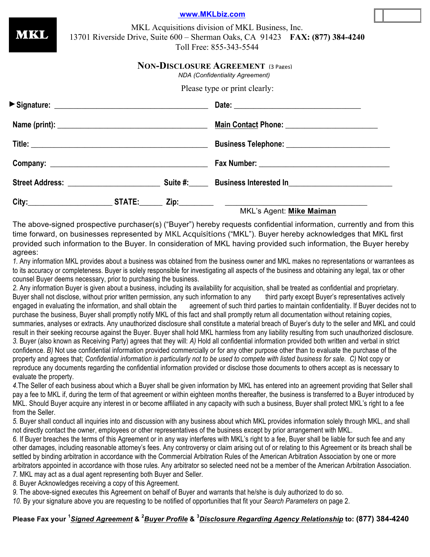MKL Acquisitions division of MKL Business, Inc. 13701 Riverside Drive, Suite 600 – Sherman Oaks, CA 91423 **FAX: (877) 384-4240** Toll Free: 855-343-5544 **NON-DISCLOSURE AGREEMENT** (3 Pages) Please type or print clearly: **Signature: \_\_\_\_\_\_\_\_\_\_\_\_\_\_\_\_\_\_\_\_\_\_\_\_\_\_\_\_\_\_\_\_\_\_\_\_\_\_\_\_ Date: \_\_\_\_\_\_\_\_\_\_\_\_\_\_\_\_\_\_\_\_\_\_\_\_\_\_\_\_\_\_\_\_\_ Name (print): \_\_\_\_\_\_\_\_\_\_\_\_\_\_\_\_\_\_\_\_\_\_\_\_\_\_\_\_\_\_\_\_\_\_\_\_\_\_\_ Main Contact Phone: \_\_\_\_\_\_\_\_\_\_\_\_\_\_\_\_\_\_\_\_\_\_\_\_ Title: \_\_\_\_\_\_\_\_\_\_\_\_\_\_\_\_\_\_\_\_\_\_\_\_\_\_\_\_\_\_\_\_\_\_\_\_\_\_\_\_\_\_\_\_\_\_ Business Telephone: \_\_\_\_\_\_\_\_\_\_\_\_\_\_\_\_\_\_\_\_\_\_\_\_\_\_\_** MKL *NDA (Confidentiality Agreement)*

| Company:               |               |          | <b>Fax Number:</b>            |  |  |  |
|------------------------|---------------|----------|-------------------------------|--|--|--|
| <b>Street Address:</b> |               | Suite #: | <b>Business Interested In</b> |  |  |  |
| City:                  | <b>STATE:</b> | Zip:     |                               |  |  |  |

MKL's Agent: **Mike Maiman**

The above-signed prospective purchaser(s) ("Buyer") hereby requests confidential information, currently and from this time forward, on businesses represented by MKL Acquisitions ("MKL"). Buyer hereby acknowledges that MKL first provided such information to the Buyer. In consideration of MKL having provided such information, the Buyer hereby agrees:

*1.* Any information MKL provides about a business was obtained from the business owner and MKL makes no representations or warrantees as to its accuracy or completeness. Buyer is solely responsible for investigating all aspects of the business and obtaining any legal, tax or other counsel Buyer deems necessary, prior to purchasing the business.

*2.* Any information Buyer is given about a business, including its availability for acquisition, shall be treated as confidential and proprietary. Buyer shall not disclose, without prior written permission, any such information to any third party except Buyer's representatives actively engaged in evaluating the information, and shall obtain the agreement of such third parties to maintain confidentiality. If Buyer decides not to purchase the business, Buyer shall promptly notify MKL of this fact and shall promptly return all documentation without retaining copies, summaries, analyses or extracts. Any unauthorized disclosure shall constitute a material breach of Buyer's duty to the seller and MKL and could result in their seeking recourse against the Buyer. Buyer shall hold MKL harmless from any liability resulting from such unauthorized disclosure. *3.* Buyer (also known as Receiving Party) agrees that they will: *A)* Hold all confidential information provided both written and verbal in strict confidence. *B)* Not use confidential information provided commercially or for any other purpose other than to evaluate the purchase of the property and agrees that; *Confidential information is particularly not to be used to compete with listed business for sale. C)* Not copy or reproduce any documents regarding the confidential information provided or disclose those documents to others accept as is necessary to evaluate the property.

*4.*The Seller of each business about which a Buyer shall be given information by MKL has entered into an agreement providing that Seller shall pay a fee to MKL if, during the term of that agreement or within eighteen months thereafter, the business is transferred to a Buyer introduced by MKL. Should Buyer acquire any interest in or become affiliated in any capacity with such a business, Buyer shall protect MKL's right to a fee from the Seller.

*5.* Buyer shall conduct all inquiries into and discussion with any business about which MKL provides information solely through MKL, and shall not directly contact the owner, employees or other representatives of the business except by prior arrangement with MKL.

*6.* If Buyer breaches the terms of this Agreement or in any way interferes with MKL's right to a fee, Buyer shall be liable for such fee and any other damages, including reasonable attorney's fees. Any controversy or claim arising out of or relating to this Agreement or its breach shall be settled by binding arbitration in accordance with the Commercial Arbitration Rules of the American Arbitration Association by one or more arbitrators appointed in accordance with those rules. Any arbitrator so selected need not be a member of the American Arbitration Association. *7.* MKL may act as a dual agent representing both Buyer and Seller.

*8.* Buyer Acknowledges receiving a copy of this Agreement.

*9.* The above-signed executes this Agreement on behalf of Buyer and warrants that he/she is duly authorized to do so.

*10.* By your signature above you are requesting to be notified of opportunities that fit your *Search Parameters* on page 2.

## **Please Fax your <sup>1</sup>** *Signed Agreement* **& <sup>2</sup>** *Buyer Profile* **& <sup>3</sup>** *Disclosure Regarding Agency Relationship* **to: (877) 384-4240**

**www.MKLbiz.com**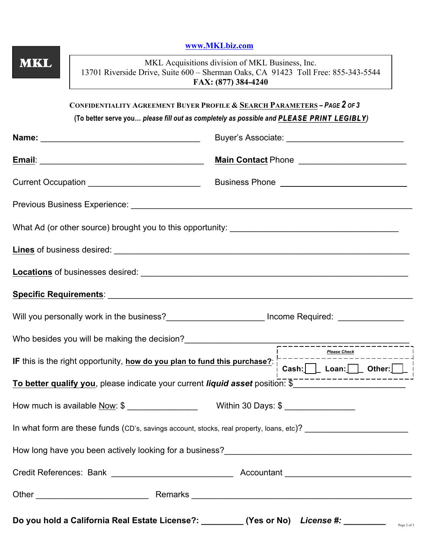|            |                                                                                                                                                                                                                                  | www.MKLbiz.com                                                                                                                                              |                    |                                                                                                                                                                                                                                                             |  |  |  |
|------------|----------------------------------------------------------------------------------------------------------------------------------------------------------------------------------------------------------------------------------|-------------------------------------------------------------------------------------------------------------------------------------------------------------|--------------------|-------------------------------------------------------------------------------------------------------------------------------------------------------------------------------------------------------------------------------------------------------------|--|--|--|
| <b>MKL</b> |                                                                                                                                                                                                                                  | MKL Acquisitions division of MKL Business, Inc.<br>13701 Riverside Drive, Suite 600 – Sherman Oaks, CA 91423 Toll Free: 855-343-5544<br>FAX: (877) 384-4240 |                    |                                                                                                                                                                                                                                                             |  |  |  |
|            | CONFIDENTIALITY AGREEMENT BUYER PROFILE & SEARCH PARAMETERS - PAGE 2 OF 3<br>(To better serve you please fill out as completely as possible and PLEASE PRINT LEGIBLY)                                                            |                                                                                                                                                             |                    |                                                                                                                                                                                                                                                             |  |  |  |
|            |                                                                                                                                                                                                                                  |                                                                                                                                                             |                    |                                                                                                                                                                                                                                                             |  |  |  |
|            |                                                                                                                                                                                                                                  |                                                                                                                                                             | Main Contact Phone |                                                                                                                                                                                                                                                             |  |  |  |
|            |                                                                                                                                                                                                                                  |                                                                                                                                                             |                    |                                                                                                                                                                                                                                                             |  |  |  |
|            |                                                                                                                                                                                                                                  |                                                                                                                                                             |                    |                                                                                                                                                                                                                                                             |  |  |  |
|            |                                                                                                                                                                                                                                  |                                                                                                                                                             |                    |                                                                                                                                                                                                                                                             |  |  |  |
|            |                                                                                                                                                                                                                                  |                                                                                                                                                             |                    |                                                                                                                                                                                                                                                             |  |  |  |
|            |                                                                                                                                                                                                                                  |                                                                                                                                                             |                    |                                                                                                                                                                                                                                                             |  |  |  |
|            |                                                                                                                                                                                                                                  |                                                                                                                                                             |                    |                                                                                                                                                                                                                                                             |  |  |  |
|            | Will you personally work in the business?<br>Mill you personally work in the business?<br>Mill you personally work in the business?<br>Mill you personally work in the business?                                                 |                                                                                                                                                             |                    |                                                                                                                                                                                                                                                             |  |  |  |
|            | Who besides you will be making the decision?<br>FIRE CONSECRETING CONSECRET CONSECRET CONSECRET CONSECRET CONSECRET CONSECRET CONSECRET CONSECRET CONSECRET CONSECRET CONSECRET CONSECRET CONSECRET CONSECRET CONSECRET CONSECRE |                                                                                                                                                             |                    |                                                                                                                                                                                                                                                             |  |  |  |
|            |                                                                                                                                                                                                                                  |                                                                                                                                                             |                    | <b>Please Check</b><br>IF this is the right opportunity, <u>how do you plan to fund this purchase?</u><br>  Cash: Loan: Cash: Comparently Cuber: Cash: Cash: Cash: Comparently Cuber: Cuber: Cuber: Cuber: Cuber: Cuber: Cuber: Cuber: Cuber: Cuber: Cuber: |  |  |  |
|            | To better qualify you, please indicate your current liquid asset position: \$_________________________________                                                                                                                   |                                                                                                                                                             |                    |                                                                                                                                                                                                                                                             |  |  |  |
|            |                                                                                                                                                                                                                                  |                                                                                                                                                             |                    |                                                                                                                                                                                                                                                             |  |  |  |
|            |                                                                                                                                                                                                                                  |                                                                                                                                                             |                    |                                                                                                                                                                                                                                                             |  |  |  |
|            | In what form are these funds (CD's, savings account, stocks, real property, loans, etc)? _____________________                                                                                                                   |                                                                                                                                                             |                    |                                                                                                                                                                                                                                                             |  |  |  |
|            | How long have you been actively looking for a business?<br><u>Low long have you been actively looking for a business?</u>                                                                                                        |                                                                                                                                                             |                    |                                                                                                                                                                                                                                                             |  |  |  |
|            |                                                                                                                                                                                                                                  |                                                                                                                                                             |                    |                                                                                                                                                                                                                                                             |  |  |  |
|            |                                                                                                                                                                                                                                  |                                                                                                                                                             |                    |                                                                                                                                                                                                                                                             |  |  |  |
|            | Do you hold a California Real Estate License?: ________ (Yes or No) License #: ________ PRERE 2 of 3                                                                                                                             |                                                                                                                                                             |                    |                                                                                                                                                                                                                                                             |  |  |  |